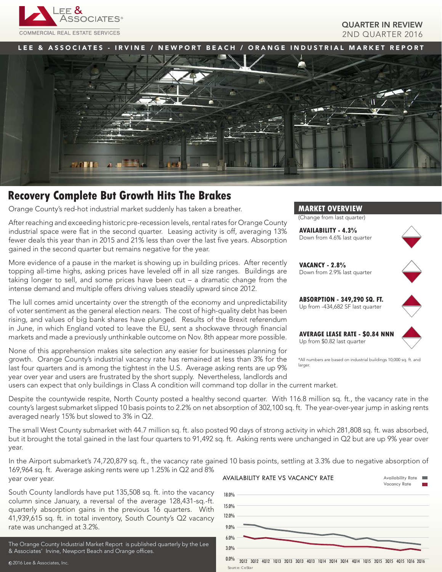

## QUARTER IN REVIEW 2ND QUARTER 2016

LEE & ASSOCIATES - IRVINE / NEWPORT BEACH / ORANGE INDUSTRIAL MARKET REPORT



# **Recovery Complete But Growth Hits The Brakes**

Orange County's red-hot industrial market suddenly has taken a breather.

After reaching and exceeding historic pre-recession levels, rental rates for Orange County industrial space were flat in the second quarter. Leasing activity is off, averaging 13% fewer deals this year than in 2015 and 21% less than over the last five years. Absorption gained in the second quarter but remains negative for the year.

More evidence of a pause in the market is showing up in building prices. After recently topping all-time highs, asking prices have leveled off in all size ranges. Buildings are taking longer to sell, and some prices have been cut – a dramatic change from the intense demand and multiple offers driving values steadily upward since 2012.

The lull comes amid uncertainty over the strength of the economy and unpredictability of voter sentiment as the general election nears. The cost of high-quality debt has been rising, and values of big bank shares have plunged. Results of the Brexit referendum in June, in which England voted to leave the EU, sent a shockwave through financial markets and made a previously unthinkable outcome on Nov. 8th appear more possible.

None of this apprehension makes site selection any easier for businesses planning for growth. Orange County's industrial vacancy rate has remained at less than 3% for the last four quarters and is among the tightest in the U.S. Average asking rents are up 9% year over year and users are frustrated by the short supply. Nevertheless, landlords and



(Change from last quarter)

**AVAILABILITY - 4.3%** Down from 4.6% last quarter



**VACANCY - 2.8%** Down from 2.9% last quarter



**ABSORPTION - 349,290 SQ. FT.** Up from -434,682 SF last quarter

**AVERAGE LEASE RATE - \$0.84 NNN** Up from \$0.82 last quarter



\*All numbers are based on industrial buildings 10,000 sq. ft. and larger.

users can expect that only buildings in Class A condition will command top dollar in the current market.

Despite the countywide respite, North County posted a healthy second quarter. With 116.8 million sq. ft., the vacancy rate in the county's largest submarket slipped 10 basis points to 2.2% on net absorption of 302,100 sq. ft. The year-over-year jump in asking rents averaged nearly 15% but slowed to 3% in Q2.

The small West County submarket with 44.7 million sq. ft. also posted 90 days of strong activity in which 281,808 sq. ft. was absorbed, but it brought the total gained in the last four quarters to 91,492 sq. ft. Asking rents were unchanged in Q2 but are up 9% year over year.

In the Airport submarket's 74,720,879 sq. ft., the vacancy rate gained 10 basis points, settling at 3.3% due to negative absorption of 169,964 sq. ft. Average asking rents were up 1.25% in Q2 and 8% year over year. Availability Rate

Source: CoStar

South County landlords have put 135,508 sq. ft. into the vacancy column since January, a reversal of the average 128,431-sq.-ft. quarterly absorption gains in the previous 16 quarters. With 41,939,615 sq. ft. in total inventory, South County's Q2 vacancy rate was unchanged at 3.2%.

The Orange County Industrial Market Report is published quarterly by the Lee & Associates' Irvine, Newport Beach and Orange offices.

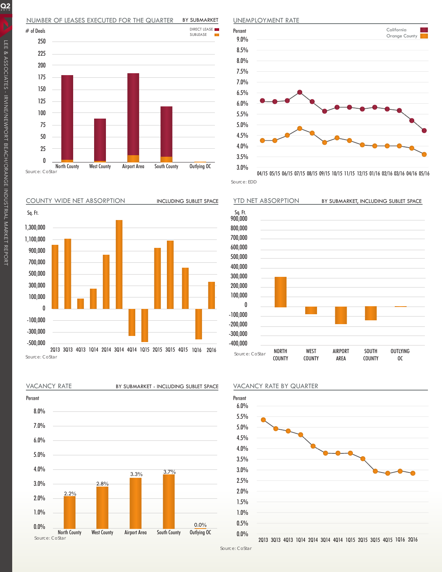#### NUMBER OF LEASES EXECUTED FOR THE QUARTER BY SUBMARKET



COUNTY WIDE NET ABSORPTION



Source: CoStar



North County West County Airport Area South County Outlying OC





Source: EDD 04/15 05/15 06/15 07/15 08/15 09/15 10/15 11/15 12/15 01/16 02/16 03/16 04/16 05/16







2Q13 3Q13 4Q13 1Q14 2Q14 3Q14 4Q14 1Q15 2Q15 3Q15 4Q15 1Q16 2Q16

 $Q_2$ 

Source: CoStar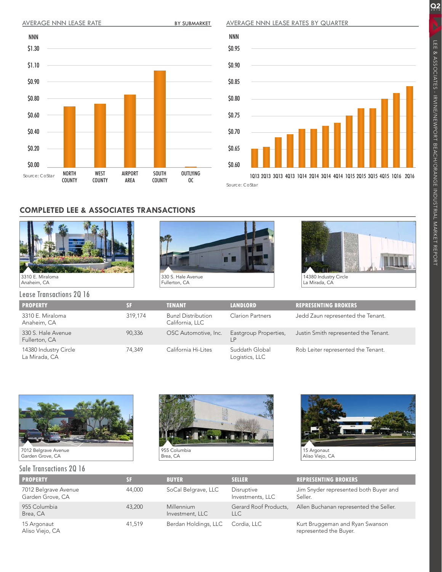BY SUBMARKET

AVERAGE NNN LEASE RATES BY QUARTER





## **COMPLETED LEE & ASSOCIATES TRANSACTIONS**







Lease Transactions 2Q 16

| <b>PROPERTY</b>                        | SF.     | <b>TENANT</b>                                | <b>LANDLORD</b>                  | <b>REPRESENTING BROKERS</b>          |  |  |  |  |  |  |  |
|----------------------------------------|---------|----------------------------------------------|----------------------------------|--------------------------------------|--|--|--|--|--|--|--|
| 3310 E. Miraloma<br>Anaheim, CA        | 319.174 | <b>Bunzl Distribution</b><br>California, LLC | <b>Clarion Partners</b>          | Jedd Zaun represented the Tenant.    |  |  |  |  |  |  |  |
| 330 S. Hale Avenue<br>Fullerton, CA    | 90.336  | OSC Automotive, Inc.                         | Eastgroup Properties,<br>LP      | Justin Smith represented the Tenant. |  |  |  |  |  |  |  |
| 14380 Industry Circle<br>La Mirada, CA | 74.349  | California Hi-Lites                          | Suddath Global<br>Logistics, LLC | Rob Leiter represented the Tenant.   |  |  |  |  |  |  |  |



## Sale Transactions 2Q 16





| <b>PROPERTY</b>                          | বেন    | <b>BUYER</b>                  | <b>SELLER</b>                       | <b>REPRESENTING BROKERS</b>                               |
|------------------------------------------|--------|-------------------------------|-------------------------------------|-----------------------------------------------------------|
| 7012 Belgrave Avenue<br>Garden Grove, CA | 44.000 | SoCal Belgrave, LLC           | Disruptive<br>Investments, LLC      | Jim Snyder represented both Buyer and<br>Seller.          |
| 955 Columbia<br>43,200<br>Brea, CA       |        | Millennium<br>Investment, LLC | Gerard Roof Products,<br><b>LLC</b> | Allen Buchanan represented the Seller.                    |
| 15 Argonaut<br>Aliso Viejo, CA           | 41.519 | Berdan Holdings, LLC          | Cordia, LLC                         | Kurt Bruggeman and Ryan Swanson<br>represented the Buyer. |

 $Q_2$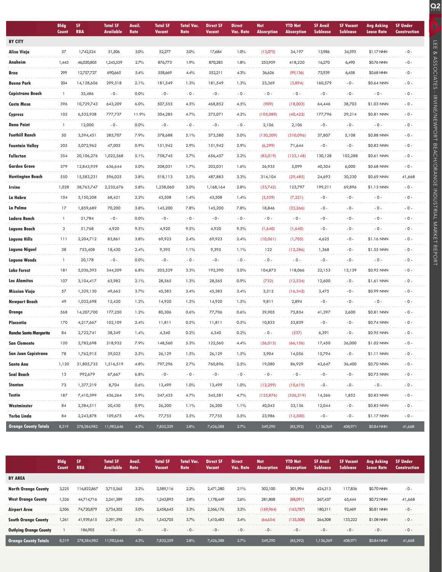|                               | <b>Bldg</b><br>Count | SF<br><b>RBA</b> | <b>Total SF</b><br><b>Available</b> | Avail.<br>Rate | <b>Total SF</b><br><b>Vacant</b> | <b>Total Vac.</b><br>Rate | <b>Direct SF</b><br><b>Vacant</b> | <b>Direct</b><br>Vac. Rate | <b>Net</b><br><b>Absorption</b> | <b>YTD Net</b><br><b>Absorption</b> | <b>SF Avail</b><br><b>Sublease</b> | <b>SF Vacant</b><br><b>Sublease</b> | <b>Avg Asking</b><br><b>Lease Rate</b> | <b>SF Under</b><br>Construction |
|-------------------------------|----------------------|------------------|-------------------------------------|----------------|----------------------------------|---------------------------|-----------------------------------|----------------------------|---------------------------------|-------------------------------------|------------------------------------|-------------------------------------|----------------------------------------|---------------------------------|
| <b>BY CITY</b>                |                      |                  |                                     |                |                                  |                           |                                   |                            |                                 |                                     |                                    |                                     |                                        |                                 |
| <b>Aliso Viejo</b>            | 57                   | 1,742,524        | 51,506                              | 3.0%           | 52,277                           | 3.0%                      | 17,684                            | 1.0%                       | (13,075)                        | 34,197                              | 13,986                             | 34,593                              | \$1.17 NNN                             | $-0-$                           |
| Anaheim                       | 1,443                | 46,020,805       | 1,245,559                           | 2.7%           | 876,773                          | 1.9%                      | 870,283                           | 1.8%                       | 253,959                         | 418,220                             | 16,270                             | 6,490                               | \$0.76 NNN                             | $-0-$                           |
| <b>Brea</b>                   | 299                  | 12,757,727       | 690,665                             | 5.4%           | 558,669                          | 4.4%                      | 552,211                           | 4.3%                       | 36,626                          | (99, 136)                           | 75,939                             | 6,458                               | \$0.68 NNN                             | $-0-$                           |
| <b>Buena Park</b>             | 204                  | 14,128,606       | 299,318                             | 2.1%           | 181,549                          | 1.3%                      | 181,549                           | 1.3%                       | 23,369                          | (3,894)                             | 160,579                            | $-0-$                               | \$0.64 NNN                             | $-0 -$                          |
| <b>Capistrano Beach</b>       | $\mathbf{1}$         | 35,486           | $-0-$                               | 0.0%           | $-0-$                            | $-0 -$                    | $-0-$                             | $-0 -$                     | $-0 -$                          | $-0-$                               | $-0-$                              | $-0-$                               | $-0 -$                                 | $-0-$                           |
| <b>Costa Mesa</b>             | 396                  | 10,729,743       | 643,209                             | 6.0%           | 507,555                          | 4.5%                      | 468,852                           | 4.5%                       | (909)                           | (18,003)                            | 64,446                             | 38,703                              | \$1.03 NNN                             | $-0 -$                          |
| <b>Cypress</b>                | 102                  | 6,532,938        | 777,737                             | 11.9%          | 304,285                          | 4.7%                      | 275,071                           | 4.2%                       | (105,089)                       | (40, 422)                           | 177,796                            | 29,214                              | \$0.81 NNN                             | $-0-$                           |
| <b>Dana Point</b>             | 1                    | 12,000           | $-0-$                               | 0.0%           | $-0-$                            | $-0 -$                    | $-0-$                             | $-0 -$                     | 2,106                           | 2,106                               | $-0-$                              | $-0-$                               | $-0 -$                                 | $-0-$                           |
| <b>Foothill Ranch</b>         | 50                   | 3,594,451        | 285,707                             | 7.9%           | 378,688                          | 5.1%                      | 373,580                           | 5.0%                       | (130, 209)                      | (310,096)                           | 37,807                             | 5,108                               | \$0.88 NNN                             | $-0 -$                          |
| <b>Fountain Valley</b>        | 205                  | 5,072,962        | 47,005                              | 0.9%           | 151,942                          | 2.9%                      | 151,942                           | 2.9%                       | (6, 299)                        | 71,644                              | $-0-$                              | $-0-$                               | \$0.83 NNN                             | $-0-$                           |
| <b>Fullerton</b>              | 354                  | 20,106,276       | 1,022,568                           | 5.1%           | 758,745                          | 3.7%                      | 656,457                           | 3.2%                       | (83,019)                        | (123, 148)                          | 130,128                            | 102,288                             | \$0.61 NNN                             | $-0 -$                          |
| <b>Garden Grove</b>           | 379                  | 12,843,959       | 636,644                             | 5.0%           | 208,031                          | 1.7%                      | 202,031                           | 1.6%                       | 26,935                          | 5,099                               | 40,304                             | 6,000                               | \$0.68 NNN                             | $-0-$                           |
| <b>Huntington Beach</b>       | 550                  | 15,583,231       | 596,025                             | 3.8%           | 518,113                          | 3.5%                      | 487,883                           | 3.3%                       | 314,104                         | (29, 485)                           | 24,693                             | 30,230                              | \$0.69 NNN                             | 41,668                          |
| Irvine                        | 1,028                | 38,763,747       | 2,235,676                           | 5.8%           | 1,238,060                        | 3.0%                      | 1,168,164                         | 2.8%                       | (33,742)                        | 123,797                             | 199,211                            | 69,896                              | \$1.13 NNN                             | $-0 -$                          |
| La Habra                      | 104                  | 3,150,208        | 68,421                              | 2.2%           | 43,508                           | 1.4%                      | 43,508                            | 1.4%                       | (3, 559)                        | (7, 221)                            | $-0-$                              | $-0-$                               | $-0 -$                                 | $-0-$                           |
| La Palma                      | 17                   | 1,859,689        | 70,200                              | 3.8%           | 145,200                          | 7.8%                      | 145,200                           | 7.8%                       | 18,846                          | (33, 266)                           | $-0-$                              | $-0-$                               | $-0 -$                                 | $-0 -$                          |
| Ladera Ranch                  | 1                    | 21,784           | $-0-$                               | 0.0%           | $-0-$                            | $-0 -$                    | $-0-$                             | $-0 -$                     | $-0 -$                          | $-0 -$                              | $-0-$                              | $-0-$                               | $-0-$                                  | $-0-$                           |
| Laguna Beach                  | 3                    | 51,768           | 4,920                               | 9.5%           | 4,920                            | 9.5%                      | 4,920                             | 9.5%                       | (1,640)                         | (1,640)                             | $-0-$                              | $-0-$                               | $-0 -$                                 | $-0-$                           |
| Laguna Hills                  | 111                  | 2,204,712        | 83,861                              | 3.8%           | 69,923                           | 2.4%                      | 69,923                            | 2.4%                       | (10,061)                        | (1,705)                             | 4,625                              | $-0-$                               | \$1.16 NNN                             | $-0 -$                          |
| Laguna Niguel                 | 38                   | 753,408          | 18,430                              | 2.4%           | 9,395                            | 1.1%                      | 9,395                             | 1.1%                       | 122                             | (12, 286)                           | 1,368                              | $-0-$                               | \$1.55 NNN                             | $-0-$                           |
| Laguna Woods                  | 1                    | 20,178           | - 0 -                               | 0.0%           | $-0-$                            | $-0 -$                    | $-0-$                             | $-0 -$                     | $-0 -$                          | $-0-$                               | $-0-$                              | $-0-$                               | $-0 -$                                 | $-0 -$                          |
| <b>Lake Forest</b>            | 181                  | 5,036,393        | 344,209                             | 6.8%           | 205,529                          | 3.3%                      | 192,390                           | 3.0%                       | 104,873                         | 118,066                             | 22,153                             | 13,139                              | \$0.92 NNN                             | $-0-$                           |
| <b>Los Alamitos</b>           | 107                  | 3,104,417        | 63,982                              | 2.1%           | 28,565                           | 1.3%                      | 28,565                            | 0.9%                       | (732)                           | (12, 534)                           | 12,600                             | $-0-$                               | \$1.61 NNN                             | $-0$ .                          |
| <b>Mission Viejo</b>          | 57                   | 1,329,130        | 49,662                              | 3.7%           | 45,383                           | 3.4%                      | 45,383                            | 3.4%                       | 3,312                           | (16, 342)                           | 3,475                              | $-0-$                               | \$0.99 NNN                             | $-0 -$                          |
| <b>Newport Beach</b>          | 49                   | 1,022,698        | 12,420                              | 1.2%           | 14,920                           | 1.5%                      | 14,920                            | 1.5%                       | 9,811                           | 2,894                               | $-0-$                              | $-0-$                               | $-0 -$                                 | $-0-$                           |
| Orange                        | 568                  | 14,207,700       | 177,250                             | 1.2%           | 80,306                           | 0.6%                      | 77,706                            | 0.6%                       | 39,905                          | 75,834                              | 41,397                             | 2,600                               | \$0.81 NNN                             | $-0 -$                          |
| Placentia                     | 170                  | 4,217,667        | 102,109                             | 2.4%           | 11,811                           | 0.5%                      | 11,811                            | 0.5%                       | 10,833                          | 53,839                              | $-0-$                              | $-0-$                               | \$0.74 NNN                             | $-0 -$                          |
| <b>Rancho Santa Margarita</b> | 84                   | 2,722,741        | 38,349                              | 1.4%           | 4,340                            | 0.2%                      | 4,340                             | 0.2%                       | $-0 -$                          | (537)                               | 6,391                              | $-0-$                               | \$0.95 NNN                             | $-0$ .                          |
| San Clemente                  | 120                  | 2,782,698        | 218,932                             | 7.9%           | 148,560                          | 5.3%                      | 122,560                           | $4.4\%$                    | (56, 015)                       | (66, 156)                           | 17,450                             | 26,000                              | \$1.02 NNN                             | - 0 -                           |
| San Juan Capistrano           | 78                   | 1,762,915        | 39,023                              | 2.5%           | 26,129                           | 1.5%                      | 26,129                            | 1.5%                       | 3,904                           | 14,056                              | 15,794                             | $-0-$                               | \$1.11 NNN                             | $-0 -$                          |
| Santa Ana                     | 1,120                | 31,805,735       | 1,516,519                           | 4.8%           | 797,296                          | 2.7%                      | 760,896                           | 2.5%                       | 19,080                          | 86,929                              | 43,647                             | 36,400                              | \$0.70 NNN                             | $-0 -$                          |
| Seal Beach                    | 13                   | 992,679          | 67,667                              | 6.8%           | $-0-$                            | $-0 -$                    | $-0-$                             | $-0 -$                     | $-0 -$                          | $-0 -$                              | $-0-$                              | $-0-$                               | \$0.73 NNN                             | $-0 -$                          |
| Stanton                       | 73                   | 1,377,219        | 8,704                               | 0.6%           | 13,499                           | 1.0%                      | 13,499                            | 1.0%                       | (12, 299)                       | (10,619)                            | $-0-$                              | - 0 -                               | $-0 -$                                 | - 0 -                           |
| Tustin                        | 187                  | 7,410,399        | 436,264                             | 5.9%           | 347,433                          | 4.7%                      | 345,581                           | 4.7%                       | (125, 876)                      | (326, 219)                          | 14,266                             | 1,852                               | \$0.83 NNN                             | $-0 -$                          |
| Westminster                   | 84                   | 2,384,511        | 20,430                              | 0.9%           | 26,200                           | 1.1%                      | 26,200                            | 1.1%                       | 40,043                          | 33,136                              | 12,044                             | $-0-$                               | \$0.83 NNN                             | $-0 -$                          |
| Yorba Linda                   | 84                   | 2,243,878        | 109,675                             | 4.9%           | 77,755                           | 3.5%                      | 77,755                            | 3.5%                       | 23,986                          | (12,500)                            | $-0-$                              | $-0-$                               | \$1.17 NNN                             | $-0 -$                          |
| <b>Orange County Totals</b>   | 8,319                | 278,384,982      | 11,982,646                          | 4.3%           | 7,835,359                        | 2.8%                      | 7,426,388                         | 2.7%                       | 349,290                         | (85, 392)                           | 1,136,369                          | 408,971                             | \$0.84 NNN                             | 41,668                          |

LEE & ASSOCIATES - IRVINE/NEWPORT BEACH/ORANGE INDUSTRIAL MARKET REPORT

LEE & ASSOCIATES - IRMENENEMENT BEACH/ORANGE INDUSTRIAL MARKET REPORT

**Q2** 

|                               | <b>Bldg</b><br>Count | SF<br><b>RBA</b> | <b>Total SF</b><br>Available | Avail.<br>Rate | <b>Total SF</b><br><b>Vacant</b> | <b>Total Vac.</b><br><b>Rate</b> | Direct SF<br>Vacant | <b>Direct</b><br>Vac. Rate | <b>Net</b><br><b>Absorption</b> | <b>YTD Net</b><br><b>Absorption</b> | <b>SF Avail</b><br><b>Sublease</b> | <b>SF Vacant</b><br><b>Sublease</b> | <b>Avg Asking</b><br><b>Lease Rate</b> | <b>SF Under</b><br><b>Construction</b> |
|-------------------------------|----------------------|------------------|------------------------------|----------------|----------------------------------|----------------------------------|---------------------|----------------------------|---------------------------------|-------------------------------------|------------------------------------|-------------------------------------|----------------------------------------|----------------------------------------|
| <b>BY AREA</b>                |                      |                  |                              |                |                                  |                                  |                     |                            |                                 |                                     |                                    |                                     |                                        |                                        |
| <b>North Orange County</b>    | 3,225                | 16,822,867       | 3,715,565                    | 3.2%           | 2,589,116                        | 2.2%                             | 2,471,280           | 2.1%                       | 302,100                         | 301,994                             | 424,313                            | 117,836                             | \$0.70 NNN                             | $-0-$                                  |
| <b>West Orange County</b>     | 1,326                | 44,714,716       | 2,241,389                    | 5.0%           | 1,243,893                        | 2.8%                             | 1,178,449           | 2.6%                       | 281,808                         | (88,091)                            | 267,437                            | 65,444                              | \$0.72 NNN                             | 41,668                                 |
| <b>Airport Area</b>           | 2,506                | 74,720,879       | 3,734,302                    | 5.0%           | 2,458,645                        | 3.3%                             | 2,366,176           | 3.2%                       | (169,964)                       | (163,787)                           | 180,311                            | 92,469                              | \$0.81 NNN                             | $-0-$                                  |
| <b>South Orange County</b>    | 1,261                | 41,939,615       | 2,291,390                    | 5.5%           | 1,543,705                        | 3.7%                             | 1,410,483           | 3.4%                       | (64, 654)                       | (135,508)                           | 264,308                            | 133,222                             | \$1.08 NNN                             | $-0 -$                                 |
| <b>Outlying Orange County</b> |                      | 186,905          | $-0-$                        | $-0-$          | $-0-$                            | $-0-$                            | $-0-$               | $-0-$                      | $-0-$                           | $-0-$                               | $-0-$                              | $-0-$                               | $-0-$                                  | $-0 -$                                 |
| Orange County Totals          | 8,319                | 278.384.982      | 11.982.646                   | 4.3%           | 7,835,359                        | 2.8%                             | 7,426,388           | 2.7%                       | 349,290                         | (85, 392)                           | 1,136,369                          | 408,971                             | \$0.84 NNN                             | 41,668                                 |